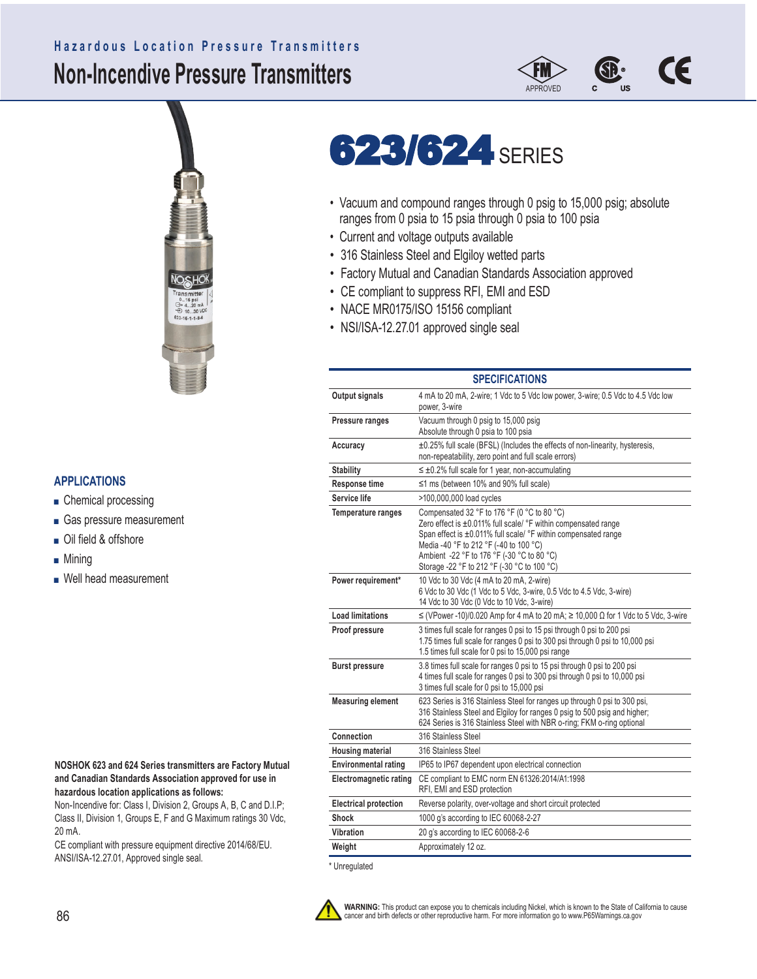# **Non-Incendive Pressure Transmitters Hazardous Location Pressure Transmitters**





# **623/624 SERIES**

- Vacuum and compound ranges through 0 psig to 15,000 psig; absolute ranges from 0 psia to 15 psia through 0 psia to 100 psia
- Current and voltage outputs available
- 316 Stainless Steel and Elgiloy wetted parts
- Factory Mutual and Canadian Standards Association approved
- CE compliant to suppress RFI, EMI and ESD
- NACE MR0175/ISO 15156 compliant
- NSI/ISA-12.27.01 approved single seal

| <b>SPECIFICATIONS</b>         |                                                                                                                                                                                                                                                                                                                                       |  |  |  |  |  |
|-------------------------------|---------------------------------------------------------------------------------------------------------------------------------------------------------------------------------------------------------------------------------------------------------------------------------------------------------------------------------------|--|--|--|--|--|
| Output signals                | 4 mA to 20 mA, 2-wire; 1 Vdc to 5 Vdc low power, 3-wire; 0.5 Vdc to 4.5 Vdc low<br>power, 3-wire                                                                                                                                                                                                                                      |  |  |  |  |  |
| Pressure ranges               | Vacuum through 0 psig to 15,000 psig<br>Absolute through 0 psia to 100 psia                                                                                                                                                                                                                                                           |  |  |  |  |  |
| Accuracy                      | ±0.25% full scale (BFSL) (Includes the effects of non-linearity, hysteresis,<br>non-repeatability, zero point and full scale errors)                                                                                                                                                                                                  |  |  |  |  |  |
| <b>Stability</b>              | $\leq \pm 0.2\%$ full scale for 1 year, non-accumulating                                                                                                                                                                                                                                                                              |  |  |  |  |  |
| <b>Response time</b>          | $\leq$ 1 ms (between 10% and 90% full scale)                                                                                                                                                                                                                                                                                          |  |  |  |  |  |
| Service life                  | >100,000,000 load cycles                                                                                                                                                                                                                                                                                                              |  |  |  |  |  |
| Temperature ranges            | Compensated 32 °F to 176 °F (0 °C to 80 °C)<br>Zero effect is $\pm 0.011\%$ full scale/ $\degree$ F within compensated range<br>Span effect is ±0.011% full scale/ °F within compensated range<br>Media -40 °F to 212 °F (-40 to 100 °C)<br>Ambient -22 °F to 176 °F (-30 °C to 80 °C)<br>Storage -22 °F to 212 °F (-30 °C to 100 °C) |  |  |  |  |  |
| Power requirement*            | 10 Vdc to 30 Vdc (4 mA to 20 mA, 2-wire)<br>6 Vdc to 30 Vdc (1 Vdc to 5 Vdc, 3-wire, 0.5 Vdc to 4.5 Vdc, 3-wire)<br>14 Vdc to 30 Vdc (0 Vdc to 10 Vdc, 3-wire)                                                                                                                                                                        |  |  |  |  |  |
| <b>Load limitations</b>       | $\leq$ (VPower -10)/0.020 Amp for 4 mA to 20 mA; $\geq$ 10,000 $\Omega$ for 1 Vdc to 5 Vdc, 3-wire                                                                                                                                                                                                                                    |  |  |  |  |  |
| Proof pressure                | 3 times full scale for ranges 0 psi to 15 psi through 0 psi to 200 psi<br>1.75 times full scale for ranges 0 psi to 300 psi through 0 psi to 10,000 psi<br>1.5 times full scale for 0 psi to 15,000 psi range                                                                                                                         |  |  |  |  |  |
| <b>Burst pressure</b>         | 3.8 times full scale for ranges 0 psi to 15 psi through 0 psi to 200 psi<br>4 times full scale for ranges 0 psi to 300 psi through 0 psi to 10,000 psi<br>3 times full scale for 0 psi to 15,000 psi                                                                                                                                  |  |  |  |  |  |
| <b>Measuring element</b>      | 623 Series is 316 Stainless Steel for ranges up through 0 psi to 300 psi,<br>316 Stainless Steel and Elgiloy for ranges 0 psig to 500 psig and higher;<br>624 Series is 316 Stainless Steel with NBR o-ring; FKM o-ring optional                                                                                                      |  |  |  |  |  |
| Connection                    | 316 Stainless Steel                                                                                                                                                                                                                                                                                                                   |  |  |  |  |  |
| <b>Housing material</b>       | 316 Stainless Steel                                                                                                                                                                                                                                                                                                                   |  |  |  |  |  |
| <b>Environmental rating</b>   | IP65 to IP67 dependent upon electrical connection                                                                                                                                                                                                                                                                                     |  |  |  |  |  |
| <b>Electromagnetic rating</b> | CE compliant to EMC norm EN 61326:2014/A1:1998<br>RFI, EMI and ESD protection                                                                                                                                                                                                                                                         |  |  |  |  |  |
| <b>Electrical protection</b>  | Reverse polarity, over-voltage and short circuit protected                                                                                                                                                                                                                                                                            |  |  |  |  |  |
| <b>Shock</b>                  | 1000 g's according to IEC 60068-2-27                                                                                                                                                                                                                                                                                                  |  |  |  |  |  |
| Vibration                     | 20 g's according to IEC 60068-2-6                                                                                                                                                                                                                                                                                                     |  |  |  |  |  |
| Weight                        | Approximately 12 oz.                                                                                                                                                                                                                                                                                                                  |  |  |  |  |  |



**WARNING:** This product can expose you to chemicals including Nickel, which is known to the State of California to cause cancer and birth defects or other reproductive harm. For more information go to www.P65Warnings.ca.gov

## **APPLICATIONS**

- Chemical processing
- Gas pressure measurement
- Oil field & offshore
- Mining
- Well head measurement

#### **NOSHOK 623 and 624 Series transmitters are Factory Mutual and Canadian Standards Association approved for use in hazardous location applications as follows:**

Non-Incendive for: Class I, Division 2, Groups A, B, C and D.I.P; Class II, Division 1, Groups E, F and G Maximum ratings 30 Vdc, 20 mA.

CE compliant with pressure equipment directive 2014/68/EU. ANSI/ISA-12.27.01, Approved single seal. \* \* Unregulated